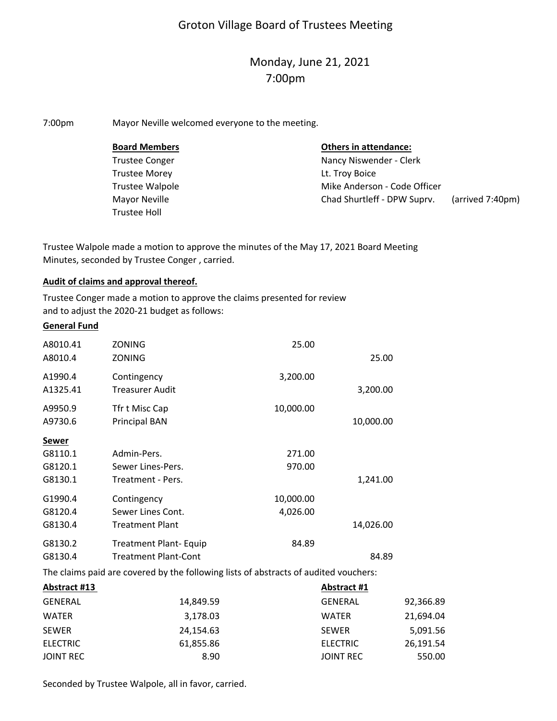# Groton Village Board of Trustees Meeting

# Monday, June 21, 2021 7:00pm

7:00pm Mayor Neville welcomed everyone to the meeting.

| <b>Board Members</b>  | <b>Others in attendance:</b> |                  |
|-----------------------|------------------------------|------------------|
| <b>Trustee Conger</b> | Nancy Niswender - Clerk      |                  |
| <b>Trustee Morey</b>  | Lt. Troy Boice               |                  |
| Trustee Walpole       | Mike Anderson - Code Officer |                  |
| Mayor Neville         | Chad Shurtleff - DPW Suprv.  | (arrived 7:40pm) |
| Trustee Holl          |                              |                  |

Trustee Walpole made a motion to approve the minutes of the May 17, 2021 Board Meeting Minutes, seconded by Trustee Conger , carried.

## **Audit of claims and approval thereof.**

Trustee Conger made a motion to approve the claims presented for review and to adjust the 2020‐21 budget as follows:

#### **General Fund**

| A8010.41 | ZONING                        | 25.00     |           |  |
|----------|-------------------------------|-----------|-----------|--|
| A8010.4  | ZONING                        |           | 25.00     |  |
| A1990.4  | Contingency                   | 3,200.00  |           |  |
| A1325.41 | Treasurer Audit               |           | 3,200.00  |  |
| A9950.9  | Tfr t Misc Cap                | 10,000.00 |           |  |
| A9730.6  | <b>Principal BAN</b>          |           | 10,000.00 |  |
| Sewer    |                               |           |           |  |
| G8110.1  | Admin-Pers.                   | 271.00    |           |  |
| G8120.1  | Sewer Lines-Pers.             | 970.00    |           |  |
| G8130.1  | Treatment - Pers.             |           | 1,241.00  |  |
| G1990.4  | Contingency                   | 10,000.00 |           |  |
| G8120.4  | Sewer Lines Cont.             | 4,026.00  |           |  |
| G8130.4  | <b>Treatment Plant</b>        |           | 14,026.00 |  |
| G8130.2  | <b>Treatment Plant- Equip</b> | 84.89     |           |  |
| G8130.4  | <b>Treatment Plant-Cont</b>   |           | 84.89     |  |

The claims paid are covered by the following lists of abstracts of audited vouchers:

| Abstract #13     |           | Abstract #1      |           |
|------------------|-----------|------------------|-----------|
| <b>GENERAL</b>   | 14,849.59 | <b>GENERAL</b>   | 92,366.89 |
| <b>WATER</b>     | 3,178.03  | <b>WATER</b>     | 21,694.04 |
| <b>SEWER</b>     | 24,154.63 | <b>SEWER</b>     | 5,091.56  |
| <b>ELECTRIC</b>  | 61,855.86 | <b>ELECTRIC</b>  | 26,191.54 |
| <b>JOINT REC</b> | 8.90      | <b>JOINT REC</b> | 550.00    |
|                  |           |                  |           |

Seconded by Trustee Walpole, all in favor, carried.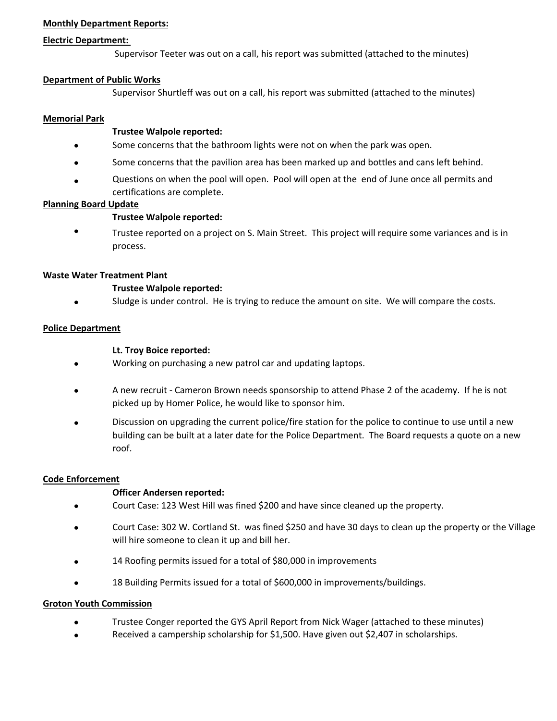## **Monthly Department Reports:**

#### **Electric Department:**

Supervisor Teeter was out on a call, his report was submitted (attached to the minutes)

## **Department of Public Works**

Supervisor Shurtleff was out on a call, his report was submitted (attached to the minutes)

## **Memorial Park**

 $\bullet$ 

## **Trustee Walpole reported:**

- Some concerns that the bathroom lights were not on when the park was open.
- $\bullet$ Some concerns that the pavilion area has been marked up and bottles and cans left behind.
- $\bullet$ Questions on when the pool will open. Pool will open at the end of June once all permits and certifications are complete.

## **Planning Board Update**

# **Trustee Walpole reported:**

 $\bullet$ Trustee reported on a project on S. Main Street. This project will require some variances and is in process.

## **Waste Water Treatment Plant**

## **Trustee Walpole reported:**

 $\bullet$ Sludge is under control. He is trying to reduce the amount on site. We will compare the costs.

## **Police Department**

## **Lt. Troy Boice reported:**

- $\bullet$ Working on purchasing a new patrol car and updating laptops.
- $\bullet$ A new recruit ‐ Cameron Brown needs sponsorship to attend Phase 2 of the academy. If he is not picked up by Homer Police, he would like to sponsor him.
- $\bullet$ Discussion on upgrading the current police/fire station for the police to continue to use until a new building can be built at a later date for the Police Department. The Board requests a quote on a new roof.

## **Code Enforcement**

# **Officer Andersen reported:**

- $\bullet$ Court Case: 123 West Hill was fined \$200 and have since cleaned up the property.
- $\bullet$ Court Case: 302 W. Cortland St. was fined \$250 and have 30 days to clean up the property or the Village will hire someone to clean it up and bill her.
- $\bullet$ 14 Roofing permits issued for a total of \$80,000 in improvements
- $\bullet$ 18 Building Permits issued for a total of \$600,000 in improvements/buildings.

## **Groton Youth Commission**

- Trustee Conger reported the GYS April Report from Nick Wager (attached to these minutes)
- Received a campership scholarship for \$1,500. Have given out \$2,407 in scholarships.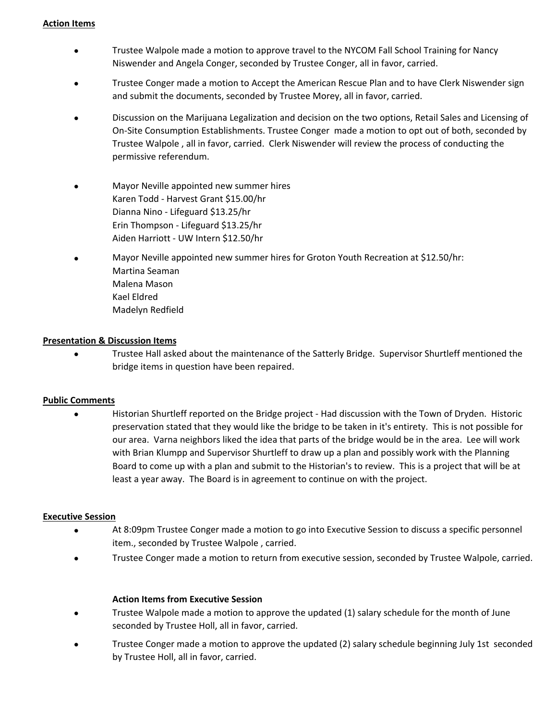#### **Action Items**

- $\bullet$ Trustee Walpole made a motion to approve travel to the NYCOM Fall School Training for Nancy Niswender and Angela Conger, seconded by Trustee Conger, all in favor, carried.
- $\bullet$ Trustee Conger made a motion to Accept the American Rescue Plan and to have Clerk Niswender sign and submit the documents, seconded by Trustee Morey, all in favor, carried.
- $\bullet$ Discussion on the Marijuana Legalization and decision on the two options, Retail Sales and Licensing of On‐Site Consumption Establishments. Trustee Conger made a motion to opt out of both, seconded by Trustee Walpole , all in favor, carried. Clerk Niswender will review the process of conducting the permissive referendum.
- $\bullet$ Mayor Neville appointed new summer hires Karen Todd ‐ Harvest Grant \$15.00/hr Dianna Nino ‐ Lifeguard \$13.25/hr Erin Thompson ‐ Lifeguard \$13.25/hr Aiden Harriott ‐ UW Intern \$12.50/hr
- $\bullet$ Mayor Neville appointed new summer hires for Groton Youth Recreation at \$12.50/hr: Martina Seaman Malena Mason Kael Eldred Madelyn Redfield

# **Presentation & Discussion Items**

 $\bullet$ Trustee Hall asked about the maintenance of the Satterly Bridge. Supervisor Shurtleff mentioned the bridge items in question have been repaired.

## **Public Comments**

 $\bullet$ Historian Shurtleff reported on the Bridge project ‐ Had discussion with the Town of Dryden. Historic preservation stated that they would like the bridge to be taken in it's entirety. This is not possible for our area. Varna neighbors liked the idea that parts of the bridge would be in the area. Lee will work with Brian Klumpp and Supervisor Shurtleff to draw up a plan and possibly work with the Planning Board to come up with a plan and submit to the Historian's to review. This is a project that will be at least a year away. The Board is in agreement to continue on with the project.

## **Executive Session**

- $\bullet$ At 8:09pm Trustee Conger made a motion to go into Executive Session to discuss a specific personnel item., seconded by Trustee Walpole , carried.
- $\bullet$ Trustee Conger made a motion to return from executive session, seconded by Trustee Walpole, carried.

## **Action Items from Executive Session**

- $\bullet$ Trustee Walpole made a motion to approve the updated (1) salary schedule for the month of June seconded by Trustee Holl, all in favor, carried.
- $\bullet$ Trustee Conger made a motion to approve the updated (2) salary schedule beginning July 1st seconded by Trustee Holl, all in favor, carried.